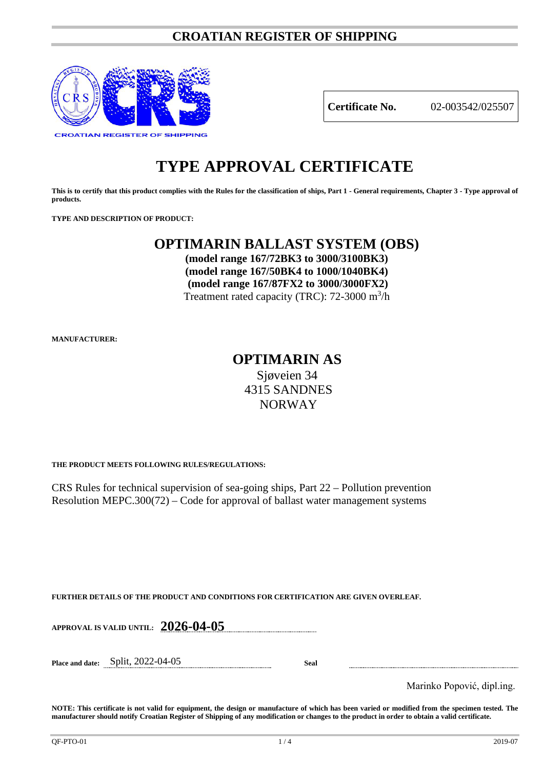# **CROATIAN REGISTER OF SHIPPING**



**Certificate No.** 02-003542/025507

# **TYPE APPROVAL CERTIFICATE**

**This is to certify that this product complies with the Rules for the classification of ships, Part 1 - General requirements, Chapter 3 - Type approval of products.**

**TYPE AND DESCRIPTION OF PRODUCT:** 

# **OPTIMARIN BALLAST SYSTEM (OBS)**

**(model range 167/72BK3 to 3000/3100BK3) (model range 167/50BK4 to 1000/1040BK4) (model range 167/87FX2 to 3000/3000FX2)** Treatment rated capacity (TRC): 72-3000 m<sup>3</sup>/h

**MANUFACTURER:**

# **OPTIMARIN AS** Sjøveien 34 4315 SANDNES NORWAY

**THE PRODUCT MEETS FOLLOWING RULES/REGULATIONS:**

CRS Rules for technical supervision of sea-going ships, Part 22 – Pollution prevention Resolution MEPC.300(72) – Code for approval of ballast water management systems

**FURTHER DETAILS OF THE PRODUCT AND CONDITIONS FOR CERTIFICATION ARE GIVEN OVERLEAF.**

**APPROVAL IS VALID UNTIL: 2026-04-05**

**Place and date:** Split, 2022-04-05 **Seal**

Marinko Popović, dipl.ing.

**NOTE: This certificate is not valid for equipment, the design or manufacture of which has been varied or modified from the specimen tested. The manufacturer should notify Croatian Register of Shipping of any modification or changes to the product in order to obtain a valid certificate.**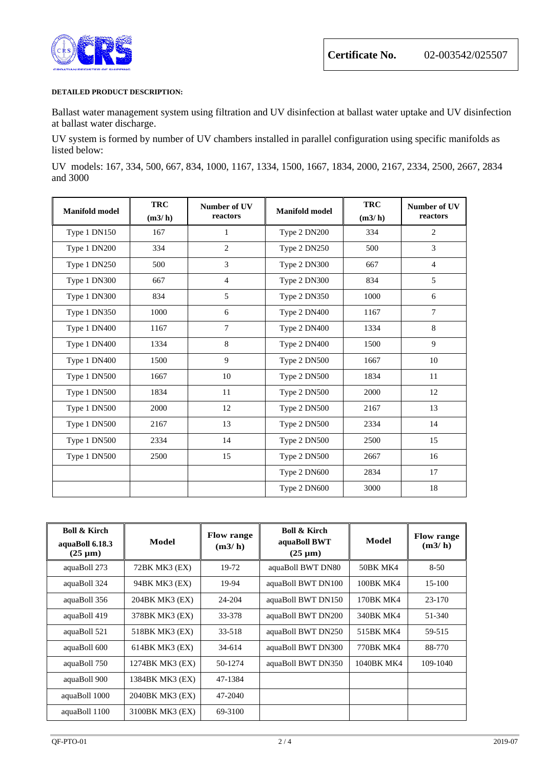

### **DETAILED PRODUCT DESCRIPTION:**

Ballast water management system using filtration and UV disinfection at ballast water uptake and UV disinfection at ballast water discharge.

UV system is formed by number of UV chambers installed in parallel configuration using specific manifolds as listed below:

UV models: 167, 334, 500, 667, 834, 1000, 1167, 1334, 1500, 1667, 1834, 2000, 2167, 2334, 2500, 2667, 2834 and 3000

| <b>Manifold model</b> | <b>TRC</b><br>(m3/h) | Number of UV<br>reactors | <b>Manifold model</b> | <b>TRC</b><br>(m3/h) | Number of UV<br>reactors |
|-----------------------|----------------------|--------------------------|-----------------------|----------------------|--------------------------|
| Type 1 DN150          | 167                  | 1                        | Type 2 DN200          | 334                  | 2                        |
| Type 1 DN200          | 334                  | $\overline{2}$           | Type 2 DN250          | 500                  | 3                        |
| Type 1 DN250          | 500                  | 3                        | Type 2 DN300          | 667                  | $\overline{4}$           |
| Type 1 DN300          | 667                  | $\overline{4}$           | Type 2 DN300          | 834                  | 5                        |
| Type 1 DN300          | 834                  | 5                        | Type 2 DN350          | 1000                 | 6                        |
| Type 1 DN350          | 1000                 | 6                        | Type 2 DN400          | 1167                 | $\overline{7}$           |
| Type 1 DN400          | 1167                 | $\overline{7}$           | Type 2 DN400          | 1334                 | 8                        |
| Type 1 DN400          | 1334                 | 8                        | Type 2 DN400          | 1500                 | 9                        |
| Type 1 DN400          | 1500                 | 9                        | Type 2 DN500          | 1667                 | 10                       |
| Type 1 DN500          | 1667                 | 10                       | Type 2 DN500          | 1834                 | 11                       |
| Type 1 DN500          | 1834                 | 11                       | Type 2 DN500          | 2000                 | 12                       |
| Type 1 DN500          | 2000                 | 12                       | Type 2 DN500          | 2167                 | 13                       |
| Type 1 DN500          | 2167                 | 13                       | Type 2 DN500          | 2334                 | 14                       |
| Type 1 DN500          | 2334                 | 14                       | Type 2 DN500          | 2500                 | 15                       |
| Type 1 DN500          | 2500                 | 15                       | Type 2 DN500          | 2667                 | 16                       |
|                       |                      |                          | Type 2 DN600          | 2834                 | 17                       |
|                       |                      |                          | Type 2 DN600          | 3000                 | 18                       |

| <b>Boll &amp; Kirch</b><br>aquaBoll 6.18.3<br>$(25 \mu m)$ | Model           | <b>Flow range</b><br>(m3/h) | <b>Boll &amp; Kirch</b><br>aquaBoll BWT<br>$(25 \mu m)$ | Model      | <b>Flow range</b><br>(m3/h) |
|------------------------------------------------------------|-----------------|-----------------------------|---------------------------------------------------------|------------|-----------------------------|
| aquaBoll 273                                               | 72BK MK3 (EX)   | 19-72                       | aquaBoll BWT DN80                                       | 50BK MK4   | $8 - 50$                    |
| aquaBoll 324                                               | 94BK MK3 (EX)   | 19-94                       | aquaBoll BWT DN100                                      | 100BK MK4  | 15-100                      |
| aquaBoll 356                                               | 204BK MK3 (EX)  | 24-204                      | aquaBoll BWT DN150                                      | 170BK MK4  | 23-170                      |
| aquaBoll 419                                               | 378BK MK3 (EX)  | 33-378                      | aquaBoll BWT DN200                                      | 340BK MK4  | 51-340                      |
| aquaBoll 521                                               | 518BK MK3 (EX)  | 33-518                      | aquaBoll BWT DN250                                      | 515BK MK4  | 59-515                      |
| aquaBoll 600                                               | 614BK MK3 (EX)  | 34-614                      | aquaBoll BWT DN300                                      | 770BK MK4  | 88-770                      |
| aquaBoll 750                                               | 1274BK MK3 (EX) | 50-1274                     | aquaBoll BWT DN350                                      | 1040BK MK4 | 109-1040                    |
| aquaBoll 900                                               | 1384BK MK3 (EX) | 47-1384                     |                                                         |            |                             |
| aquaBoll 1000                                              | 2040BK MK3 (EX) | 47-2040                     |                                                         |            |                             |
| aquaBoll 1100                                              | 3100BK MK3 (EX) | 69-3100                     |                                                         |            |                             |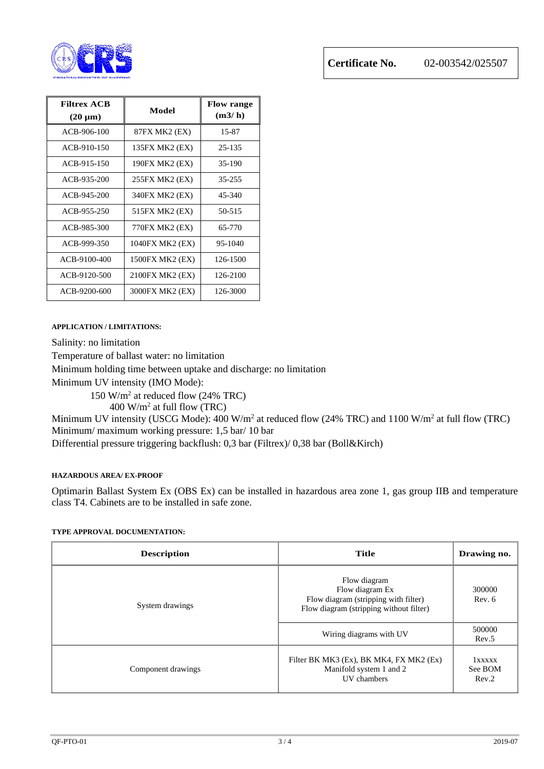

| <b>Filtrex ACB</b><br>$(20 \mu m)$ | Model           | <b>Flow range</b><br>(m3/h) |
|------------------------------------|-----------------|-----------------------------|
| ACB-906-100                        | 87FX MK2 (EX)   | 15-87                       |
| ACB-910-150                        | 135FX MK2 (EX)  | 25-135                      |
| ACB-915-150                        | 190FX MK2 (EX)  | 35-190                      |
| ACB-935-200                        | 255FX MK2 (EX)  | 35-255                      |
| ACB-945-200                        | 340FX MK2 (EX)  | 45-340                      |
| ACB-955-250                        | 515FX MK2 (EX)  | 50-515                      |
| ACB-985-300                        | 770FX MK2 (EX)  | 65-770                      |
| ACB-999-350                        | 1040FX MK2 (EX) | 95-1040                     |
| ACB-9100-400                       | 1500FX MK2 (EX) | 126-1500                    |
| ACB-9120-500                       | 2100FX MK2 (EX) | 126-2100                    |
| ACB-9200-600                       | 3000FX MK2 (EX) | 126-3000                    |

## **APPLICATION / LIMITATIONS:**

Salinity: no limitation

Temperature of ballast water: no limitation

Minimum holding time between uptake and discharge: no limitation

Minimum UV intensity (IMO Mode):

150 W/m2 at reduced flow (24% TRC)

400 W/m2 at full flow (TRC)

Minimum UV intensity (USCG Mode): 400 W/m<sup>2</sup> at reduced flow (24% TRC) and 1100 W/m<sup>2</sup> at full flow (TRC) Minimum/ maximum working pressure: 1,5 bar/ 10 bar

Differential pressure triggering backflush: 0,3 bar (Filtrex)/ 0,38 bar (Boll&Kirch)

## **HAZARDOUS AREA/ EX-PROOF**

Optimarin Ballast System Ex (OBS Ex) can be installed in hazardous area zone 1, gas group IIB and temperature class T4. Cabinets are to be installed in safe zone.

### **TYPE APPROVAL DOCUMENTATION:**

| <b>Description</b> | <b>Title</b>                                                                                                       | Drawing no.                |
|--------------------|--------------------------------------------------------------------------------------------------------------------|----------------------------|
| System drawings    | Flow diagram<br>Flow diagram Ex<br>Flow diagram (stripping with filter)<br>Flow diagram (stripping without filter) | 300000<br>Rev. 6           |
|                    | Wiring diagrams with UV                                                                                            | 500000<br>Rev.5            |
| Component drawings | Filter BK MK3 (Ex), BK MK4, FX MK2 (Ex)<br>Manifold system 1 and 2<br>UV chambers                                  | 1xxxxx<br>See BOM<br>Rev.2 |